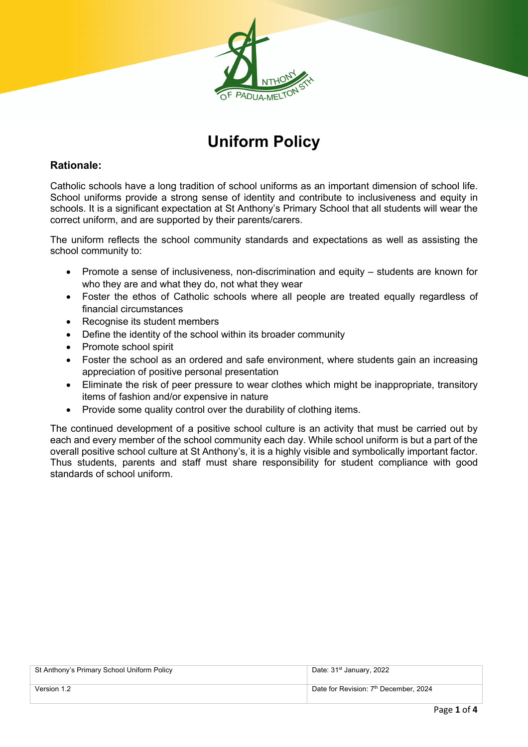

# **Uniform Policy**

## **Rationale:**

Catholic schools have a long tradition of school uniforms as an important dimension of school life. School uniforms provide a strong sense of identity and contribute to inclusiveness and equity in schools. It is a significant expectation at St Anthony's Primary School that all students will wear the correct uniform, and are supported by their parents/carers.

The uniform reflects the school community standards and expectations as well as assisting the school community to:

- Promote a sense of inclusiveness, non-discrimination and equity students are known for who they are and what they do, not what they wear
- Foster the ethos of Catholic schools where all people are treated equally regardless of financial circumstances
- Recognise its student members
- Define the identity of the school within its broader community
- Promote school spirit
- Foster the school as an ordered and safe environment, where students gain an increasing appreciation of positive personal presentation
- Eliminate the risk of peer pressure to wear clothes which might be inappropriate, transitory items of fashion and/or expensive in nature
- Provide some quality control over the durability of clothing items.

The continued development of a positive school culture is an activity that must be carried out by each and every member of the school community each day. While school uniform is but a part of the overall positive school culture at St Anthony's, it is a highly visible and symbolically important factor. Thus students, parents and staff must share responsibility for student compliance with good standards of school uniform.

| St Anthony's Primary School Uniform Policy | Date: 31 <sup>st</sup> January, 2022              |
|--------------------------------------------|---------------------------------------------------|
| Version 1.2                                | Date for Revision: 7 <sup>th</sup> December, 2024 |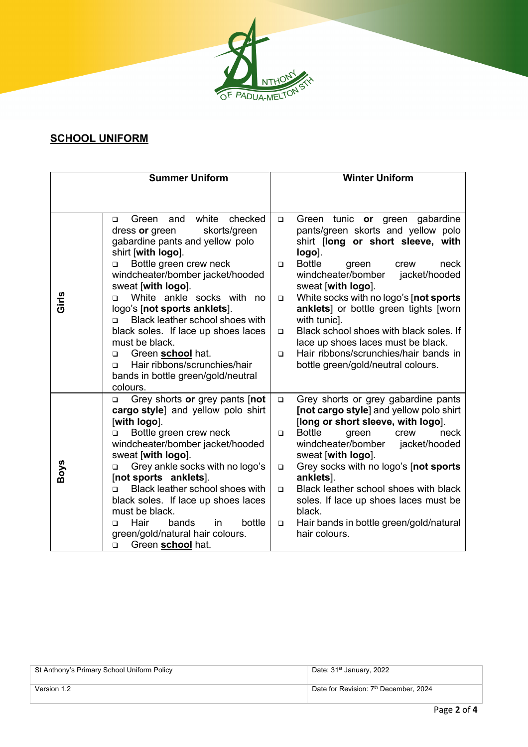

# **SCHOOL UNIFORM**

|             | <b>Summer Uniform</b>                                                                                                              |        | <b>Winter Uniform</b>                                                                                               |
|-------------|------------------------------------------------------------------------------------------------------------------------------------|--------|---------------------------------------------------------------------------------------------------------------------|
|             |                                                                                                                                    |        |                                                                                                                     |
|             | white checked<br>and<br>Green<br>$\Box$<br>skorts/green<br>dress or green<br>gabardine pants and yellow polo<br>shirt [with logo]. | $\Box$ | Green tunic or green gabardine<br>pants/green skorts and yellow polo<br>shirt [long or short sleeve, with<br>logo]. |
|             | Bottle green crew neck<br>$\Box$<br>windcheater/bomber jacket/hooded<br>sweat [with logo].                                         | $\Box$ | <b>Bottle</b><br>neck<br>green<br>crew<br>windcheater/bomber<br>jacket/hooded<br>sweat [with logo].                 |
| Girls       | White ankle socks with<br>no.<br>$\Box$<br>logo's [not sports anklets].<br>Black leather school shoes with<br>$\Box$               | $\Box$ | White socks with no logo's [not sports<br>anklets] or bottle green tights [worn<br>with tunic].                     |
|             | black soles. If lace up shoes laces<br>must be black.                                                                              | $\Box$ | Black school shoes with black soles. If<br>lace up shoes laces must be black.                                       |
|             | Green school hat.<br>$\Box$                                                                                                        | $\Box$ | Hair ribbons/scrunchies/hair bands in                                                                               |
|             | Hair ribbons/scrunchies/hair<br>◻<br>bands in bottle green/gold/neutral<br>colours.                                                |        | bottle green/gold/neutral colours.                                                                                  |
|             | Grey shorts or grey pants [not<br>$\Box$<br>cargo style] and yellow polo shirt                                                     | $\Box$ | Grey shorts or grey gabardine pants<br>[not cargo style] and yellow polo shirt                                      |
|             | [with logo].                                                                                                                       |        | [long or short sleeve, with logo].                                                                                  |
|             | Bottle green crew neck<br>$\Box$<br>windcheater/bomber jacket/hooded<br>sweat [with logo].                                         | $\Box$ | <b>Bottle</b><br>neck<br>green<br>crew<br>windcheater/bomber<br>jacket/hooded<br>sweat [with logo].                 |
| <b>Boys</b> | Grey ankle socks with no logo's<br>$\Box$<br>[not sports anklets].                                                                 | $\Box$ | Grey socks with no logo's [not sports]<br>anklets].                                                                 |
|             | Black leather school shoes with<br>$\Box$                                                                                          | $\Box$ | Black leather school shoes with black                                                                               |
|             | black soles. If lace up shoes laces<br>must be black.                                                                              |        | soles. If lace up shoes laces must be<br>black.                                                                     |
|             | Hair<br>bottle<br>bands<br>in.<br>$\Box$<br>green/gold/natural hair colours.<br>Green school hat.<br>$\Box$                        | $\Box$ | Hair bands in bottle green/gold/natural<br>hair colours.                                                            |

| St Anthony's Primary School Uniform Policy | Date: 31 <sup>st</sup> January, 2022              |
|--------------------------------------------|---------------------------------------------------|
| Version 1.2                                | Date for Revision: 7 <sup>th</sup> December, 2024 |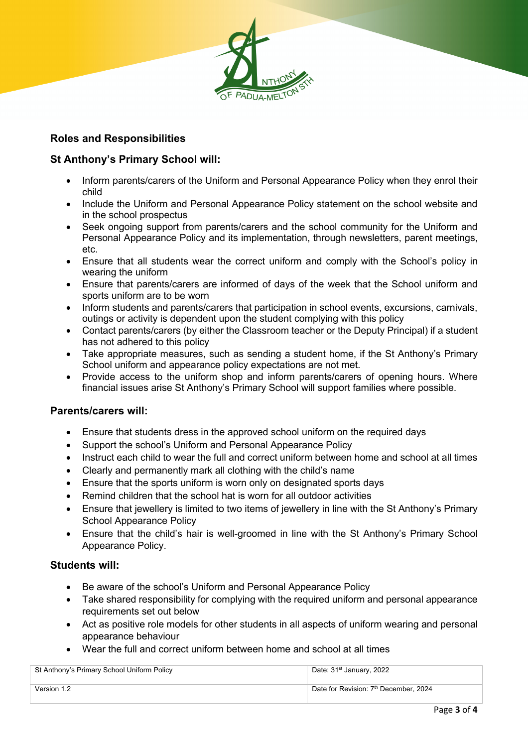

## **Roles and Responsibilities**

### **St Anthony's Primary School will:**

- Inform parents/carers of the Uniform and Personal Appearance Policy when they enrol their child
- Include the Uniform and Personal Appearance Policy statement on the school website and in the school prospectus
- Seek ongoing support from parents/carers and the school community for the Uniform and Personal Appearance Policy and its implementation, through newsletters, parent meetings, etc.
- Ensure that all students wear the correct uniform and comply with the School's policy in wearing the uniform
- Ensure that parents/carers are informed of days of the week that the School uniform and sports uniform are to be worn
- Inform students and parents/carers that participation in school events, excursions, carnivals, outings or activity is dependent upon the student complying with this policy
- Contact parents/carers (by either the Classroom teacher or the Deputy Principal) if a student has not adhered to this policy
- Take appropriate measures, such as sending a student home, if the St Anthony's Primary School uniform and appearance policy expectations are not met.
- Provide access to the uniform shop and inform parents/carers of opening hours. Where financial issues arise St Anthony's Primary School will support families where possible.

#### **Parents/carers will:**

- Ensure that students dress in the approved school uniform on the required days
- Support the school's Uniform and Personal Appearance Policy
- Instruct each child to wear the full and correct uniform between home and school at all times
- Clearly and permanently mark all clothing with the child's name
- Ensure that the sports uniform is worn only on designated sports days
- Remind children that the school hat is worn for all outdoor activities
- Ensure that jewellery is limited to two items of jewellery in line with the St Anthony's Primary School Appearance Policy
- Ensure that the child's hair is well-groomed in line with the St Anthony's Primary School Appearance Policy.

#### **Students will:**

- Be aware of the school's Uniform and Personal Appearance Policy
- Take shared responsibility for complying with the required uniform and personal appearance requirements set out below
- Act as positive role models for other students in all aspects of uniform wearing and personal appearance behaviour
- Wear the full and correct uniform between home and school at all times

| St Anthony's Primary School Uniform Policy | Date: 31 <sup>st</sup> January, 2022              |
|--------------------------------------------|---------------------------------------------------|
| Version 1.2                                | Date for Revision: 7 <sup>th</sup> December, 2024 |